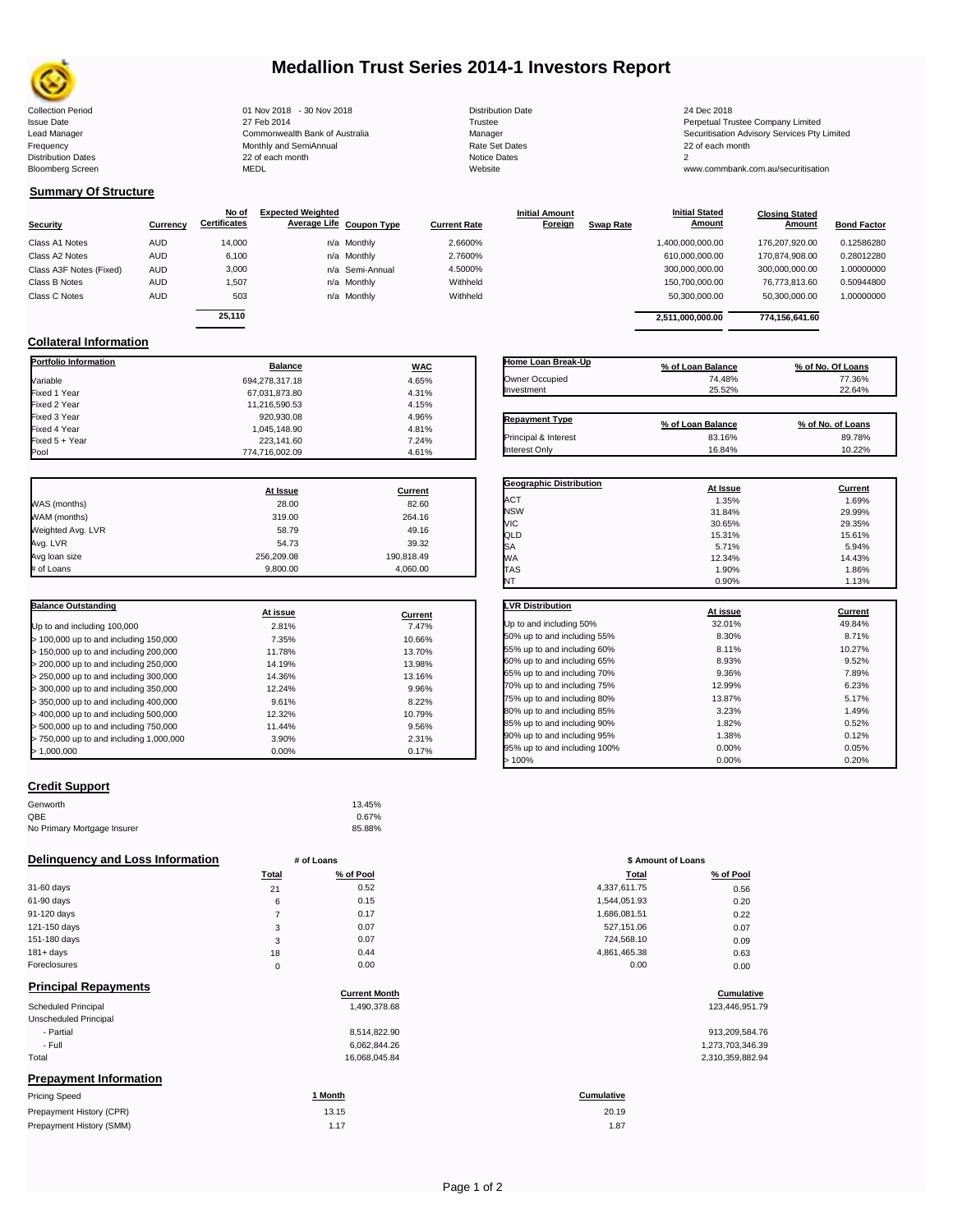

## **Medallion Trust Series 2014-1 Investors Report**

| lection Period  |
|-----------------|
| ue Date         |
| d Manager       |
| quency          |
| tribution Dates |
| omberg Screen   |

Collection Period 24 Dec 2018 - 20 Nov 2018 - 30 Nov 2018 - 30 Nov 2018 - 20 Distribution Date 2018<br>
1991 Sulte Date 2014 - 27 Feb 2014 - 27 Feb 2014 - 27 Feb 2014 - 27 Ferpetual Trustee 2018<br>
27 Feb 2014 - Commonwealth Ba Frequency 22 of each month Monthly and SemiAnnual Rate Set Dates 22 of each month 22 of each month 22 of each month<br>Distribution Dates 22 of each month 22 of each month 20 of each month and the Set Dates 20 month 2 Bloomberg Screen MEDL Website www.commbank.com.au/securitisation

| <b>Distribution Date</b> |
|--------------------------|
| Trustee                  |
| Manager                  |
| Rate Set Dates           |
| Notice Dates             |
| Website                  |
|                          |

27 Feb 2014 2014<br>Commonwealth Bank of Australia **Commonwealth Bank of Australia** Commonwealth Bank of Australia Lead Manager **Commonwealth Bank of Australia** Manager Manager Manager Securitisation Advisory Services Pty Limited<br>1991 Frequency Securitisation Advisory Services Pty Limited<br>1991 Distribution Dates Services Securitisation

## **Summary Of Structure**

**Collateral Information**

| Security                | Currency   | No of<br><b>Certificates</b> | <b>Expected Weighted</b><br>Average Life Coupon Type | <b>Current Rate</b> | <b>Initial Amount</b><br><b>Foreign</b> | <b>Swap Rate</b> | <b>Initial Stated</b><br><u>Amount</u> | <b>Closing Stated</b><br>Amount | <b>Bond Factor</b> |
|-------------------------|------------|------------------------------|------------------------------------------------------|---------------------|-----------------------------------------|------------------|----------------------------------------|---------------------------------|--------------------|
| Class A1 Notes          | <b>AUD</b> | 14.000                       | n/a Monthly                                          | 2.6600%             |                                         |                  | 1,400,000,000.00                       | 176.207.920.00                  | 0.12586280         |
| Class A2 Notes          | <b>AUD</b> | 6.100                        | n/a Monthly                                          | 2.7600%             |                                         |                  | 610,000,000.00                         | 170.874.908.00                  | 0.28012280         |
| Class A3F Notes (Fixed) | <b>AUD</b> | 3,000                        | n/a Semi-Annual                                      | 4.5000%             |                                         |                  | 300,000,000.00                         | 300,000,000.00                  | 1.00000000         |
| Class B Notes           | <b>AUD</b> | 1.507                        | n/a Monthly                                          | Withheld            |                                         |                  | 150,700,000.00                         | 76.773.813.60                   | 0.50944800         |
| Class C Notes           | <b>AUD</b> | 503                          | n/a Monthly                                          | Withheld            |                                         |                  | 50,300,000.00                          | 50,300,000.00                   | 1.00000000         |
|                         |            | 25.110                       |                                                      |                     |                                         |                  | 2,511,000,000.00                       | 774.156.641.60                  |                    |

**Portfolio Information Balance WAC** Variable 694,278,317.18 4.65% Fixed 1 Year 4.31% Fixed 2 Year 11,216,590.53 4.15% Fixed 3 Year 920,930.08 4.96% Fixed 4 Year 1,045,148.90 4.81% Fixed 5 + Year 7.24% 223,141.60 223,141.60 223,141.60 7.24% 223,141.60 7.24%

| Home Loan Break-Up    | % of Loan Balance | % of No. Of Loans |
|-----------------------|-------------------|-------------------|
| Owner Occupied        | 74.48%            | 77.36%            |
| Investment            | 25.52%            | 22.64%            |
|                       |                   |                   |
| <b>Repayment Type</b> | % of Loan Balance | % of No. of Loans |
| Principal & Interest  | 83.16%            | 89.78%            |

**Geographic Distribution**<br> **ACT ACT ACT ACT ACT ACT ACT ACT ACT ACT ACT ACT ACT ACT ACT ACT ACT ACT ACT ACT ACT ACT ACT ACT ACT ACT ACT** ACT 1.35% 1.69% NSW 31.84% 29.99% VIC 30.65% 29.35%

**Initial Stated** 

|                   | At Issue   | Current    |
|-------------------|------------|------------|
| WAS (months)      | 28.00      | 82.60      |
| WAM (months)      | 319.00     | 264.16     |
| Weighted Avg. LVR | 58.79      | 49.16      |
| Avg. LVR          | 54.73      | 39.32      |
| Avg loan size     | 256.209.08 | 190,818.49 |
| # of Loans        | 9.800.00   | 4,060.00   |

 $774,716,002.09$ 

| <b>Balance Outstanding</b>              | At issue | Current |
|-----------------------------------------|----------|---------|
| Up to and including 100,000             | 2.81%    | 7.47%   |
| $>$ 100,000 up to and including 150,000 | 7.35%    | 10.66%  |
| $>$ 150,000 up to and including 200,000 | 11.78%   | 13.70%  |
| > 200,000 up to and including 250,000   | 14.19%   | 13.98%  |
| > 250,000 up to and including 300,000   | 14.36%   | 13.16%  |
| > 300,000 up to and including 350,000   | 12.24%   | 9.96%   |
| > 350,000 up to and including 400,000   | 9.61%    | 8.22%   |
| > 400,000 up to and including 500,000   | 12.32%   | 10.79%  |
| > 500,000 up to and including 750,000   | 11.44%   | 9.56%   |
| > 750,000 up to and including 1,000,000 | 3.90%    | 2.31%   |
| >1.000.000                              | 0.00%    | 0.17%   |

| QLD                          | 15.31%   | 15.61%  |
|------------------------------|----------|---------|
| SA                           | 5.71%    | 5.94%   |
| МA                           | 12.34%   | 14.43%  |
| <b>TAS</b>                   | 1.90%    | 1.86%   |
| NT                           | 0.90%    | 1.13%   |
| <b>LVR Distribution</b>      | At issue | Current |
| Up to and including 50%      | 32.01%   | 49.84%  |
| 50% up to and including 55%  | 8.30%    | 8.71%   |
| 55% up to and including 60%  | 8.11%    | 10.27%  |
| 60% up to and including 65%  | 8.93%    | 9.52%   |
| 65% up to and including 70%  | 9.36%    | 7.89%   |
| 70% up to and including 75%  | 12.99%   | 6.23%   |
| 75% up to and including 80%  | 13.87%   | 5.17%   |
| 80% up to and including 85%  | 3.23%    | 1.49%   |
| 85% up to and including 90%  | 1.82%    | 0.52%   |
| 90% up to and including 95%  | 1.38%    | 0.12%   |
| 95% up to and including 100% | 0.00%    | 0.05%   |

95% up to and including 100% 0.00% 0.00% 0.05% 0.05% 0.05% 0.05% 0.05% 0.05% 0.05% 0.05% 0.05% 0.05% 0.05% 0.05% 0.05% 0.05% 0.05% 0.05% 0.05% 0.05% 0.05% 0.05% 0.05% 0.05% 0.05% 0.05% 0.05% 0.05% 0.05% 0.05% 0.05% 0.05% 0  $> 100\%$  0.20% 0.20% 0.20%

### **Credit Support**

Prepayment History (SMM)

| Genworth                    | 13.45% |
|-----------------------------|--------|
| QBE                         | 0.67%  |
| No Primary Mortgage Insurer | 85.88% |

### **Delinquency and Loss Information # of Loans**

|                                        | Total | % of Pool | Total        | % of Pool |
|----------------------------------------|-------|-----------|--------------|-----------|
| 31-60 days                             | 21    | 0.52      | 4,337,611.75 | 0.56      |
| 61-90 days                             | 6     | 0.15      | 1,544,051.93 | 0.20      |
| 91-120 days                            |       | 0.17      | 1,686,081.51 | 0.22      |
| 121-150 days                           | 3     | 0.07      | 527,151.06   | 0.07      |
| 151-180 days                           | 3     | 0.07      | 724,568.10   | 0.09      |
| $181 + days$                           | 18    | 0.44      | 4,861,465.38 | 0.63      |
| Foreclosures                           | 0     | 0.00      | 0.00         | 0.00      |
| Photography of Photography and a state |       |           |              |           |

| <b>Principal Repayments</b>   |                      |                  |
|-------------------------------|----------------------|------------------|
|                               | <b>Current Month</b> | Cumulative       |
| <b>Scheduled Principal</b>    | 1,490,378.68         | 123,446,951.79   |
| Unscheduled Principal         |                      |                  |
| - Partial                     | 8.514.822.90         | 913,209,584.76   |
| - Full                        | 6,062,844.26         | 1,273,703,346.39 |
| Total                         | 16,068,045.84        | 2,310,359,882.94 |
| <b>Prepayment Information</b> |                      |                  |
| <b>Pricing Speed</b>          | 1 Month              | Cumulative       |
| Prepayment History (CPR)      | 13.15                | 20.19            |

| # of Loans   |                      | \$ Amount of Loans |            |
|--------------|----------------------|--------------------|------------|
| <b>Total</b> | % of Pool            | <b>Total</b>       | % of Pool  |
| 21           | 0.52                 | 4,337,611.75       | 0.56       |
| 6            | 0.15                 | 1,544,051.93       | 0.20       |
| 7            | 0.17                 | 1,686,081.51       | 0.22       |
| 3            | 0.07                 | 527,151.06         | 0.07       |
| 3            | 0.07                 | 724,568.10         | 0.09       |
| 18           | 0.44                 | 4,861,465.38       | 0.63       |
| $\mathbf 0$  | 0.00                 | 0.00               | 0.00       |
|              | <b>Current Month</b> |                    | Cumulative |

| 913,209,584.76   |
|------------------|
| 1,273,703,346.39 |
| 2,310,359,882.94 |

# 20.19

1.17 1.87